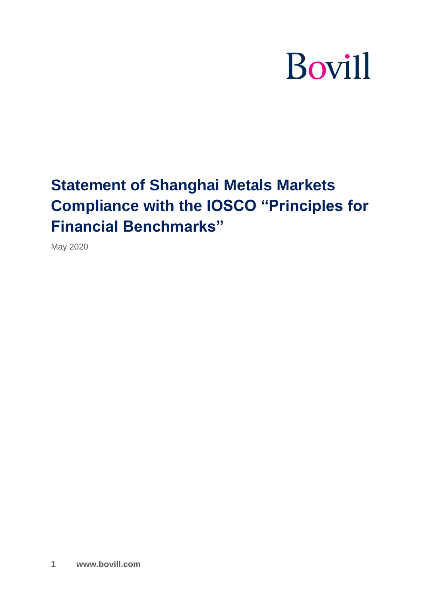# **Bovill**

# **Statement of Shanghai Metals Markets Compliance with the IOSCO "Principles for Financial Benchmarks"**

May 2020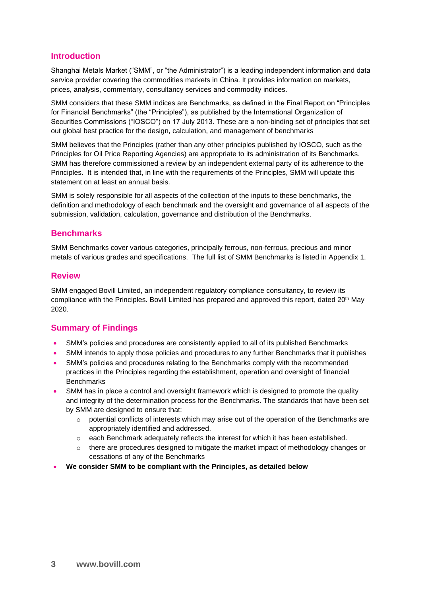#### **Introduction**

Shanghai Metals Market ("SMM", or "the Administrator") is a leading independent information and data service provider covering the commodities markets in China. It provides information on markets, prices, analysis, commentary, consultancy services and commodity indices.

SMM considers that these SMM indices are Benchmarks, as defined in the Final Report on "Principles for Financial Benchmarks" (the "Principles"), as published by the International Organization of Securities Commissions ("IOSCO") on 17 July 2013. These are a non-binding set of principles that set out global best practice for the design, calculation, and management of benchmarks

SMM believes that the Principles (rather than any other principles published by IOSCO, such as the Principles for Oil Price Reporting Agencies) are appropriate to its administration of its Benchmarks. SMM has therefore commissioned a review by an independent external party of its adherence to the Principles. It is intended that, in line with the requirements of the Principles, SMM will update this statement on at least an annual basis.

SMM is solely responsible for all aspects of the collection of the inputs to these benchmarks, the definition and methodology of each benchmark and the oversight and governance of all aspects of the submission, validation, calculation, governance and distribution of the Benchmarks.

#### **Benchmarks**

SMM Benchmarks cover various categories, principally ferrous, non-ferrous, precious and minor metals of various grades and specifications. The full list of SMM Benchmarks is listed in Appendix 1.

#### **Review**

SMM engaged Bovill Limited, an independent regulatory compliance consultancy, to review its compliance with the Principles. Bovill Limited has prepared and approved this report, dated 20<sup>th</sup> May 2020.

#### **Summary of Findings**

- SMM's policies and procedures are consistently applied to all of its published Benchmarks
- SMM intends to apply those policies and procedures to any further Benchmarks that it publishes
- SMM's policies and procedures relating to the Benchmarks comply with the recommended practices in the Principles regarding the establishment, operation and oversight of financial **Benchmarks**
- SMM has in place a control and oversight framework which is designed to promote the quality and integrity of the determination process for the Benchmarks. The standards that have been set by SMM are designed to ensure that:
	- $\circ$  potential conflicts of interests which may arise out of the operation of the Benchmarks are appropriately identified and addressed.
	- $\circ$  each Benchmark adequately reflects the interest for which it has been established.
	- $\circ$  there are procedures designed to mitigate the market impact of methodology changes or cessations of any of the Benchmarks
- **We consider SMM to be compliant with the Principles, as detailed below**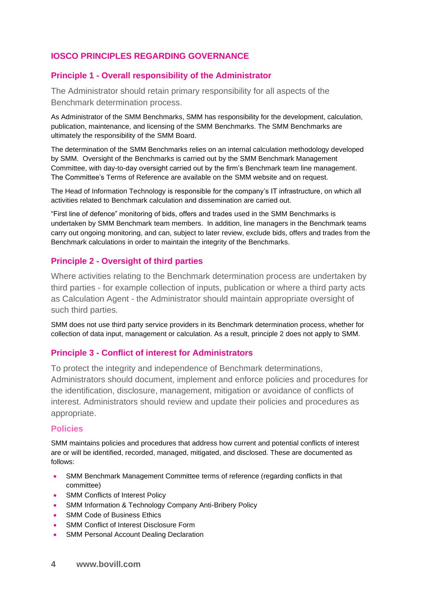# **IOSCO PRINCIPLES REGARDING GOVERNANCE**

#### **Principle 1 - Overall responsibility of the Administrator**

The Administrator should retain primary responsibility for all aspects of the Benchmark determination process.

As Administrator of the SMM Benchmarks, SMM has responsibility for the development, calculation, publication, maintenance, and licensing of the SMM Benchmarks. The SMM Benchmarks are ultimately the responsibility of the SMM Board.

The determination of the SMM Benchmarks relies on an internal calculation methodology developed by SMM. Oversight of the Benchmarks is carried out by the SMM Benchmark Management Committee, with day-to-day oversight carried out by the firm's Benchmark team line management. The Committee's Terms of Reference are available on the SMM website and on request.

The Head of Information Technology is responsible for the company's IT infrastructure, on which all activities related to Benchmark calculation and dissemination are carried out.

"First line of defence" monitoring of bids, offers and trades used in the SMM Benchmarks is undertaken by SMM Benchmark team members. In addition, line managers in the Benchmark teams carry out ongoing monitoring, and can, subject to later review, exclude bids, offers and trades from the Benchmark calculations in order to maintain the integrity of the Benchmarks.

#### **Principle 2 - Oversight of third parties**

Where activities relating to the Benchmark determination process are undertaken by third parties - for example collection of inputs, publication or where a third party acts as Calculation Agent - the Administrator should maintain appropriate oversight of such third parties.

SMM does not use third party service providers in its Benchmark determination process, whether for collection of data input, management or calculation. As a result, principle 2 does not apply to SMM.

#### **Principle 3 - Conflict of interest for Administrators**

To protect the integrity and independence of Benchmark determinations, Administrators should document, implement and enforce policies and procedures for the identification, disclosure, management, mitigation or avoidance of conflicts of interest. Administrators should review and update their policies and procedures as appropriate.

#### **Policies**

SMM maintains policies and procedures that address how current and potential conflicts of interest are or will be identified, recorded, managed, mitigated, and disclosed. These are documented as follows:

- SMM Benchmark Management Committee terms of reference (regarding conflicts in that committee)
- SMM Conflicts of Interest Policy
- SMM Information & Technology Company Anti-Bribery Policy
- **SMM Code of Business Ethics**
- SMM Conflict of Interest Disclosure Form
- **SMM Personal Account Dealing Declaration**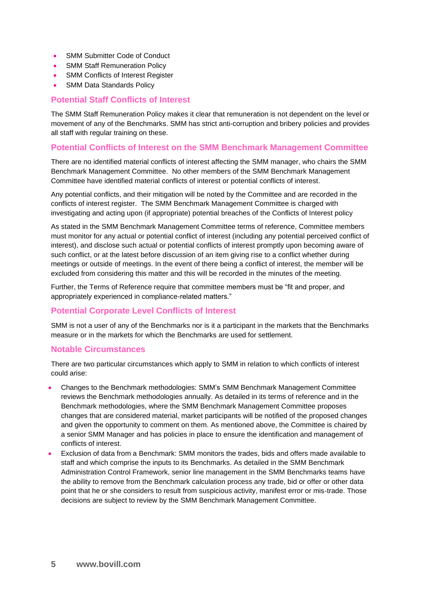- SMM Submitter Code of Conduct
- SMM Staff Remuneration Policy
- SMM Conflicts of Interest Register
- **SMM Data Standards Policy**

#### **Potential Staff Conflicts of Interest**

The SMM Staff Remuneration Policy makes it clear that remuneration is not dependent on the level or movement of any of the Benchmarks. SMM has strict anti-corruption and bribery policies and provides all staff with regular training on these.

#### **Potential Conflicts of Interest on the SMM Benchmark Management Committee**

There are no identified material conflicts of interest affecting the SMM manager, who chairs the SMM Benchmark Management Committee. No other members of the SMM Benchmark Management Committee have identified material conflicts of interest or potential conflicts of interest.

Any potential conflicts, and their mitigation will be noted by the Committee and are recorded in the conflicts of interest register. The SMM Benchmark Management Committee is charged with investigating and acting upon (if appropriate) potential breaches of the Conflicts of Interest policy

As stated in the SMM Benchmark Management Committee terms of reference, Committee members must monitor for any actual or potential conflict of interest (including any potential perceived conflict of interest), and disclose such actual or potential conflicts of interest promptly upon becoming aware of such conflict, or at the latest before discussion of an item giving rise to a conflict whether during meetings or outside of meetings. In the event of there being a conflict of interest, the member will be excluded from considering this matter and this will be recorded in the minutes of the meeting.

Further, the Terms of Reference require that committee members must be "fit and proper, and appropriately experienced in compliance-related matters."

#### **Potential Corporate Level Conflicts of Interest**

SMM is not a user of any of the Benchmarks nor is it a participant in the markets that the Benchmarks measure or in the markets for which the Benchmarks are used for settlement.

#### **Notable Circumstances**

There are two particular circumstances which apply to SMM in relation to which conflicts of interest could arise:

- Changes to the Benchmark methodologies: SMM's SMM Benchmark Management Committee reviews the Benchmark methodologies annually. As detailed in its terms of reference and in the Benchmark methodologies, where the SMM Benchmark Management Committee proposes changes that are considered material, market participants will be notified of the proposed changes and given the opportunity to comment on them. As mentioned above, the Committee is chaired by a senior SMM Manager and has policies in place to ensure the identification and management of conflicts of interest.
- Exclusion of data from a Benchmark: SMM monitors the trades, bids and offers made available to staff and which comprise the inputs to its Benchmarks. As detailed in the SMM Benchmark Administration Control Framework, senior line management in the SMM Benchmarks teams have the ability to remove from the Benchmark calculation process any trade, bid or offer or other data point that he or she considers to result from suspicious activity, manifest error or mis-trade. Those decisions are subject to review by the SMM Benchmark Management Committee.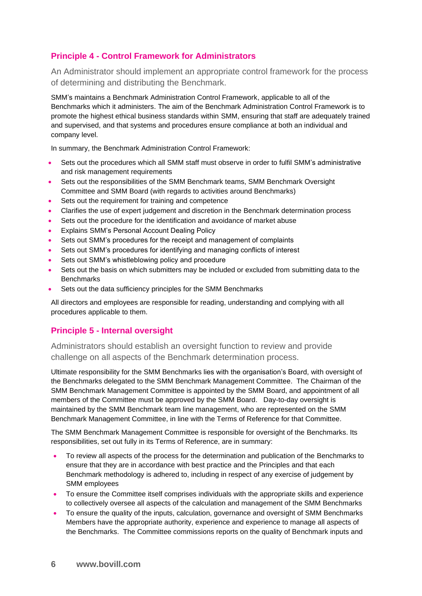# **Principle 4 - Control Framework for Administrators**

An Administrator should implement an appropriate control framework for the process of determining and distributing the Benchmark.

SMM's maintains a Benchmark Administration Control Framework, applicable to all of the Benchmarks which it administers. The aim of the Benchmark Administration Control Framework is to promote the highest ethical business standards within SMM, ensuring that staff are adequately trained and supervised, and that systems and procedures ensure compliance at both an individual and company level.

In summary, the Benchmark Administration Control Framework:

- Sets out the procedures which all SMM staff must observe in order to fulfil SMM's administrative and risk management requirements
- Sets out the responsibilities of the SMM Benchmark teams, SMM Benchmark Oversight Committee and SMM Board (with regards to activities around Benchmarks)
- Sets out the requirement for training and competence
- Clarifies the use of expert judgement and discretion in the Benchmark determination process
- Sets out the procedure for the identification and avoidance of market abuse
- Explains SMM's Personal Account Dealing Policy
- Sets out SMM's procedures for the receipt and management of complaints
- Sets out SMM's procedures for identifying and managing conflicts of interest
- Sets out SMM's whistleblowing policy and procedure
- Sets out the basis on which submitters may be included or excluded from submitting data to the **Benchmarks**
- Sets out the data sufficiency principles for the SMM Benchmarks

All directors and employees are responsible for reading, understanding and complying with all procedures applicable to them.

# **Principle 5 - Internal oversight**

Administrators should establish an oversight function to review and provide challenge on all aspects of the Benchmark determination process.

Ultimate responsibility for the SMM Benchmarks lies with the organisation's Board, with oversight of the Benchmarks delegated to the SMM Benchmark Management Committee. The Chairman of the SMM Benchmark Management Committee is appointed by the SMM Board, and appointment of all members of the Committee must be approved by the SMM Board. Day-to-day oversight is maintained by the SMM Benchmark team line management, who are represented on the SMM Benchmark Management Committee, in line with the Terms of Reference for that Committee.

The SMM Benchmark Management Committee is responsible for oversight of the Benchmarks. Its responsibilities, set out fully in its Terms of Reference, are in summary:

- To review all aspects of the process for the determination and publication of the Benchmarks to ensure that they are in accordance with best practice and the Principles and that each Benchmark methodology is adhered to, including in respect of any exercise of judgement by SMM employees
- To ensure the Committee itself comprises individuals with the appropriate skills and experience to collectively oversee all aspects of the calculation and management of the SMM Benchmarks
- To ensure the quality of the inputs, calculation, governance and oversight of SMM Benchmarks Members have the appropriate authority, experience and experience to manage all aspects of the Benchmarks. The Committee commissions reports on the quality of Benchmark inputs and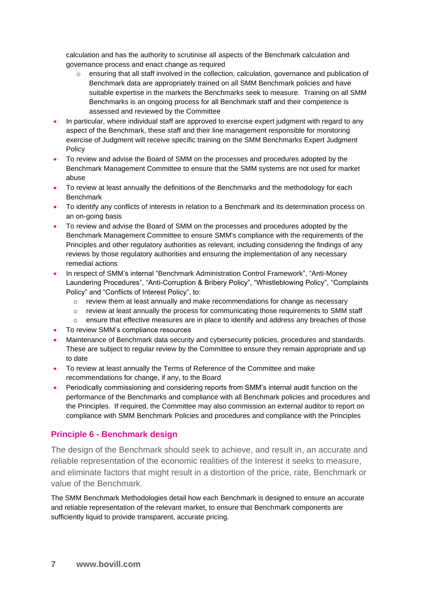calculation and has the authority to scrutinise all aspects of the Benchmark calculation and governance process and enact change as required

- o ensuring that all staff involved in the collection, calculation, governance and publication of Benchmark data are appropriately trained on all SMM Benchmark policies and have suitable expertise in the markets the Benchmarks seek to measure. Training on all SMM Benchmarks is an ongoing process for all Benchmark staff and their competence is assessed and reviewed by the Committee
- In particular, where individual staff are approved to exercise expert judgment with regard to any aspect of the Benchmark, these staff and their line management responsible for monitoring exercise of Judgment will receive specific training on the SMM Benchmarks Expert Judgment **Policy**
- To review and advise the Board of SMM on the processes and procedures adopted by the Benchmark Management Committee to ensure that the SMM systems are not used for market abuse
- To review at least annually the definitions of the Benchmarks and the methodology for each **Benchmark**
- To identify any conflicts of interests in relation to a Benchmark and its determination process on an on-going basis
- To review and advise the Board of SMM on the processes and procedures adopted by the Benchmark Management Committee to ensure SMM's compliance with the requirements of the Principles and other regulatory authorities as relevant, including considering the findings of any reviews by those regulatory authorities and ensuring the implementation of any necessary remedial actions
- In respect of SMM's internal "Benchmark Administration Control Framework", "Anti-Money Laundering Procedures", "Anti-Corruption & Bribery Policy", "Whistleblowing Policy", "Complaints Policy" and "Conflicts of Interest Policy", to:
	- $\circ$  review them at least annually and make recommendations for change as necessary
	- o review at least annually the process for communicating those requirements to SMM staff
	- $\circ$  ensure that effective measures are in place to identify and address any breaches of those
- To review SMM's compliance resources
- Maintenance of Benchmark data security and cybersecurity policies, procedures and standards. These are subject to regular review by the Committee to ensure they remain appropriate and up to date
- To review at least annually the Terms of Reference of the Committee and make recommendations for change, if any, to the Board
- Periodically commissioning and considering reports from SMM's internal audit function on the performance of the Benchmarks and compliance with all Benchmark policies and procedures and the Principles. If required, the Committee may also commission an external auditor to report on compliance with SMM Benchmark Policies and procedures and compliance with the Principles

#### **Principle 6 - Benchmark design**

The design of the Benchmark should seek to achieve, and result in, an accurate and reliable representation of the economic realities of the Interest it seeks to measure, and eliminate factors that might result in a distortion of the price, rate, Benchmark or value of the Benchmark.

The SMM Benchmark Methodologies detail how each Benchmark is designed to ensure an accurate and reliable representation of the relevant market, to ensure that Benchmark components are sufficiently liquid to provide transparent, accurate pricing.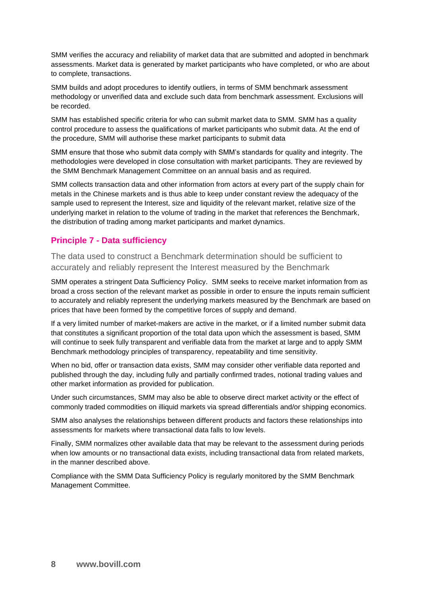SMM verifies the accuracy and reliability of market data that are submitted and adopted in benchmark assessments. Market data is generated by market participants who have completed, or who are about to complete, transactions.

SMM builds and adopt procedures to identify outliers, in terms of SMM benchmark assessment methodology or unverified data and exclude such data from benchmark assessment. Exclusions will be recorded.

SMM has established specific criteria for who can submit market data to SMM. SMM has a quality control procedure to assess the qualifications of market participants who submit data. At the end of the procedure, SMM will authorise these market participants to submit data

SMM ensure that those who submit data comply with SMM's standards for quality and integrity. The methodologies were developed in close consultation with market participants. They are reviewed by the SMM Benchmark Management Committee on an annual basis and as required.

SMM collects transaction data and other information from actors at every part of the supply chain for metals in the Chinese markets and is thus able to keep under constant review the adequacy of the sample used to represent the Interest, size and liquidity of the relevant market, relative size of the underlying market in relation to the volume of trading in the market that references the Benchmark, the distribution of trading among market participants and market dynamics.

# **Principle 7 - Data sufficiency**

The data used to construct a Benchmark determination should be sufficient to accurately and reliably represent the Interest measured by the Benchmark

SMM operates a stringent Data Sufficiency Policy. SMM seeks to receive market information from as broad a cross section of the relevant market as possible in order to ensure the inputs remain sufficient to accurately and reliably represent the underlying markets measured by the Benchmark are based on prices that have been formed by the competitive forces of supply and demand.

If a very limited number of market-makers are active in the market, or if a limited number submit data that constitutes a significant proportion of the total data upon which the assessment is based, SMM will continue to seek fully transparent and verifiable data from the market at large and to apply SMM Benchmark methodology principles of transparency, repeatability and time sensitivity.

When no bid, offer or transaction data exists, SMM may consider other verifiable data reported and published through the day, including fully and partially confirmed trades, notional trading values and other market information as provided for publication.

Under such circumstances, SMM may also be able to observe direct market activity or the effect of commonly traded commodities on illiquid markets via spread differentials and/or shipping economics.

SMM also analyses the relationships between different products and factors these relationships into assessments for markets where transactional data falls to low levels.

Finally, SMM normalizes other available data that may be relevant to the assessment during periods when low amounts or no transactional data exists, including transactional data from related markets, in the manner described above.

Compliance with the SMM Data Sufficiency Policy is regularly monitored by the SMM Benchmark Management Committee.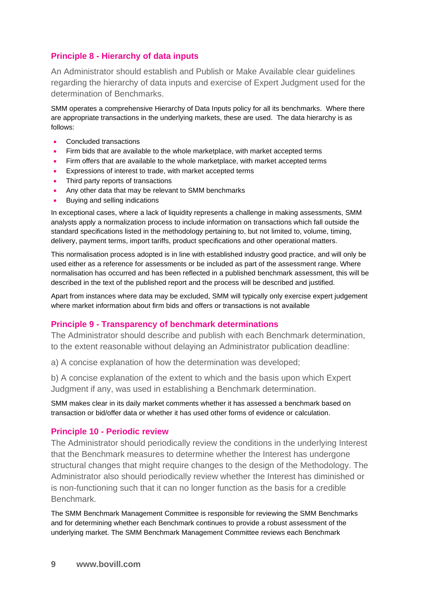# **Principle 8 - Hierarchy of data inputs**

An Administrator should establish and Publish or Make Available clear guidelines regarding the hierarchy of data inputs and exercise of Expert Judgment used for the determination of Benchmarks.

SMM operates a comprehensive Hierarchy of Data Inputs policy for all its benchmarks. Where there are appropriate transactions in the underlying markets, these are used. The data hierarchy is as follows:

- Concluded transactions
- Firm bids that are available to the whole marketplace, with market accepted terms
- Firm offers that are available to the whole marketplace, with market accepted terms
- Expressions of interest to trade, with market accepted terms
- Third party reports of transactions
- Any other data that may be relevant to SMM benchmarks
- Buying and selling indications

In exceptional cases, where a lack of liquidity represents a challenge in making assessments, SMM analysts apply a normalization process to include information on transactions which fall outside the standard specifications listed in the methodology pertaining to, but not limited to, volume, timing, delivery, payment terms, import tariffs, product specifications and other operational matters.

This normalisation process adopted is in line with established industry good practice, and will only be used either as a reference for assessments or be included as part of the assessment range. Where normalisation has occurred and has been reflected in a published benchmark assessment, this will be described in the text of the published report and the process will be described and justified.

Apart from instances where data may be excluded, SMM will typically only exercise expert judgement where market information about firm bids and offers or transactions is not available

#### **Principle 9 - Transparency of benchmark determinations**

The Administrator should describe and publish with each Benchmark determination, to the extent reasonable without delaying an Administrator publication deadline:

a) A concise explanation of how the determination was developed;

b) A concise explanation of the extent to which and the basis upon which Expert Judgment if any, was used in establishing a Benchmark determination.

SMM makes clear in its daily market comments whether it has assessed a benchmark based on transaction or bid/offer data or whether it has used other forms of evidence or calculation.

#### **Principle 10 - Periodic review**

The Administrator should periodically review the conditions in the underlying Interest that the Benchmark measures to determine whether the Interest has undergone structural changes that might require changes to the design of the Methodology. The Administrator also should periodically review whether the Interest has diminished or is non-functioning such that it can no longer function as the basis for a credible Benchmark.

The SMM Benchmark Management Committee is responsible for reviewing the SMM Benchmarks and for determining whether each Benchmark continues to provide a robust assessment of the underlying market. The SMM Benchmark Management Committee reviews each Benchmark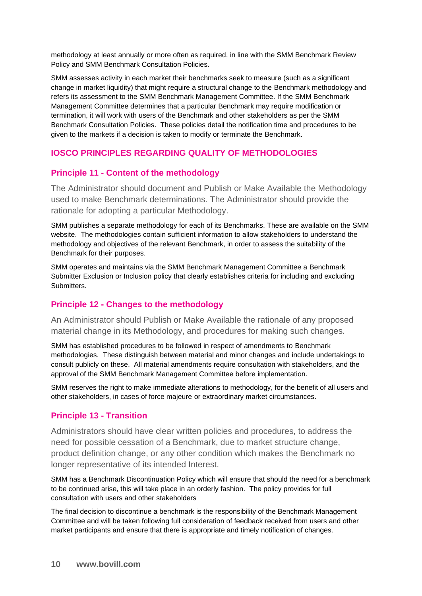methodology at least annually or more often as required, in line with the SMM Benchmark Review Policy and SMM Benchmark Consultation Policies.

SMM assesses activity in each market their benchmarks seek to measure (such as a significant change in market liquidity) that might require a structural change to the Benchmark methodology and refers its assessment to the SMM Benchmark Management Committee. If the SMM Benchmark Management Committee determines that a particular Benchmark may require modification or termination, it will work with users of the Benchmark and other stakeholders as per the SMM Benchmark Consultation Policies. These policies detail the notification time and procedures to be given to the markets if a decision is taken to modify or terminate the Benchmark.

# **IOSCO PRINCIPLES REGARDING QUALITY OF METHODOLOGIES**

#### **Principle 11 - Content of the methodology**

The Administrator should document and Publish or Make Available the Methodology used to make Benchmark determinations. The Administrator should provide the rationale for adopting a particular Methodology.

SMM publishes a separate methodology for each of its Benchmarks. These are available on the SMM website. The methodologies contain sufficient information to allow stakeholders to understand the methodology and objectives of the relevant Benchmark, in order to assess the suitability of the Benchmark for their purposes.

SMM operates and maintains via the SMM Benchmark Management Committee a Benchmark Submitter Exclusion or Inclusion policy that clearly establishes criteria for including and excluding Submitters.

#### **Principle 12 - Changes to the methodology**

An Administrator should Publish or Make Available the rationale of any proposed material change in its Methodology, and procedures for making such changes.

SMM has established procedures to be followed in respect of amendments to Benchmark methodologies. These distinguish between material and minor changes and include undertakings to consult publicly on these. All material amendments require consultation with stakeholders, and the approval of the SMM Benchmark Management Committee before implementation.

SMM reserves the right to make immediate alterations to methodology, for the benefit of all users and other stakeholders, in cases of force majeure or extraordinary market circumstances.

#### **Principle 13 - Transition**

Administrators should have clear written policies and procedures, to address the need for possible cessation of a Benchmark, due to market structure change, product definition change, or any other condition which makes the Benchmark no longer representative of its intended Interest.

SMM has a Benchmark Discontinuation Policy which will ensure that should the need for a benchmark to be continued arise, this will take place in an orderly fashion. The policy provides for full consultation with users and other stakeholders

The final decision to discontinue a benchmark is the responsibility of the Benchmark Management Committee and will be taken following full consideration of feedback received from users and other market participants and ensure that there is appropriate and timely notification of changes.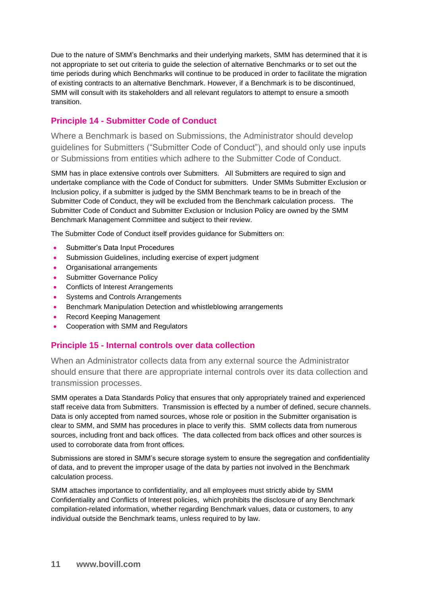Due to the nature of SMM's Benchmarks and their underlying markets, SMM has determined that it is not appropriate to set out criteria to guide the selection of alternative Benchmarks or to set out the time periods during which Benchmarks will continue to be produced in order to facilitate the migration of existing contracts to an alternative Benchmark. However, if a Benchmark is to be discontinued, SMM will consult with its stakeholders and all relevant regulators to attempt to ensure a smooth transition.

# **Principle 14 - Submitter Code of Conduct**

Where a Benchmark is based on Submissions, the Administrator should develop guidelines for Submitters ("Submitter Code of Conduct"), and should only use inputs or Submissions from entities which adhere to the Submitter Code of Conduct.

SMM has in place extensive controls over Submitters. All Submitters are required to sign and undertake compliance with the Code of Conduct for submitters. Under SMMs Submitter Exclusion or Inclusion policy, if a submitter is judged by the SMM Benchmark teams to be in breach of the Submitter Code of Conduct, they will be excluded from the Benchmark calculation process. The Submitter Code of Conduct and Submitter Exclusion or Inclusion Policy are owned by the SMM Benchmark Management Committee and subject to their review.

The Submitter Code of Conduct itself provides guidance for Submitters on:

- Submitter's Data Input Procedures
- Submission Guidelines, including exercise of expert judgment
- Organisational arrangements
- Submitter Governance Policy
- Conflicts of Interest Arrangements
- Systems and Controls Arrangements
- Benchmark Manipulation Detection and whistleblowing arrangements
- Record Keeping Management
- Cooperation with SMM and Regulators

#### **Principle 15 - Internal controls over data collection**

When an Administrator collects data from any external source the Administrator should ensure that there are appropriate internal controls over its data collection and transmission processes.

SMM operates a Data Standards Policy that ensures that only appropriately trained and experienced staff receive data from Submitters. Transmission is effected by a number of defined, secure channels. Data is only accepted from named sources, whose role or position in the Submitter organisation is clear to SMM, and SMM has procedures in place to verify this. SMM collects data from numerous sources, including front and back offices. The data collected from back offices and other sources is used to corroborate data from front offices.

Submissions are stored in SMM's secure storage system to ensure the segregation and confidentiality of data, and to prevent the improper usage of the data by parties not involved in the Benchmark calculation process.

SMM attaches importance to confidentiality, and all employees must strictly abide by SMM Confidentiality and Conflicts of Interest policies, which prohibits the disclosure of any Benchmark compilation-related information, whether regarding Benchmark values, data or customers, to any individual outside the Benchmark teams, unless required to by law.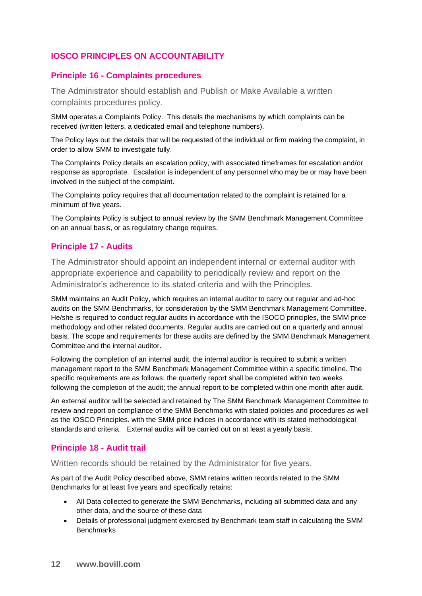# **IOSCO PRINCIPLES ON ACCOUNTABILITY**

#### **Principle 16 - Complaints procedures**

The Administrator should establish and Publish or Make Available a written complaints procedures policy.

SMM operates a Complaints Policy. This details the mechanisms by which complaints can be received (written letters, a dedicated email and telephone numbers).

The Policy lays out the details that will be requested of the individual or firm making the complaint, in order to allow SMM to investigate fully.

The Complaints Policy details an escalation policy, with associated timeframes for escalation and/or response as appropriate. Escalation is independent of any personnel who may be or may have been involved in the subject of the complaint.

The Complaints policy requires that all documentation related to the complaint is retained for a minimum of five years.

The Complaints Policy is subject to annual review by the SMM Benchmark Management Committee on an annual basis, or as regulatory change requires.

#### **Principle 17 - Audits**

The Administrator should appoint an independent internal or external auditor with appropriate experience and capability to periodically review and report on the Administrator's adherence to its stated criteria and with the Principles.

SMM maintains an Audit Policy, which requires an internal auditor to carry out regular and ad-hoc audits on the SMM Benchmarks, for consideration by the SMM Benchmark Management Committee. He/she is required to conduct regular audits in accordance with the ISOCO principles, the SMM price methodology and other related documents. Regular audits are carried out on a quarterly and annual basis. The scope and requirements for these audits are defined by the SMM Benchmark Management Committee and the internal auditor.

Following the completion of an internal audit, the internal auditor is required to submit a written management report to the SMM Benchmark Management Committee within a specific timeline. The specific requirements are as follows: the quarterly report shall be completed within two weeks following the completion of the audit; the annual report to be completed within one month after audit.

An external auditor will be selected and retained by The SMM Benchmark Management Committee to review and report on compliance of the SMM Benchmarks with stated policies and procedures as well as the IOSCO Principles. with the SMM price indices in accordance with its stated methodological standards and criteria. External audits will be carried out on at least a yearly basis.

# **Principle 18 - Audit trail**

Written records should be retained by the Administrator for five years.

As part of the Audit Policy described above, SMM retains written records related to the SMM Benchmarks for at least five years and specifically retains:

- All Data collected to generate the SMM Benchmarks, including all submitted data and any other data, and the source of these data
- Details of professional judgment exercised by Benchmark team staff in calculating the SMM **Benchmarks**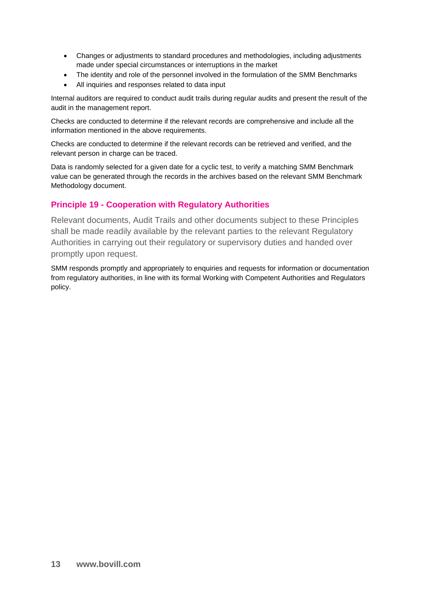- Changes or adjustments to standard procedures and methodologies, including adjustments made under special circumstances or interruptions in the market
- The identity and role of the personnel involved in the formulation of the SMM Benchmarks
- All inquiries and responses related to data input

Internal auditors are required to conduct audit trails during regular audits and present the result of the audit in the management report.

Checks are conducted to determine if the relevant records are comprehensive and include all the information mentioned in the above requirements.

Checks are conducted to determine if the relevant records can be retrieved and verified, and the relevant person in charge can be traced.

Data is randomly selected for a given date for a cyclic test, to verify a matching SMM Benchmark value can be generated through the records in the archives based on the relevant SMM Benchmark Methodology document.

# **Principle 19 - Cooperation with Regulatory Authorities**

Relevant documents, Audit Trails and other documents subject to these Principles shall be made readily available by the relevant parties to the relevant Regulatory Authorities in carrying out their regulatory or supervisory duties and handed over promptly upon request.

SMM responds promptly and appropriately to enquiries and requests for information or documentation from regulatory authorities, in line with its formal Working with Competent Authorities and Regulators policy.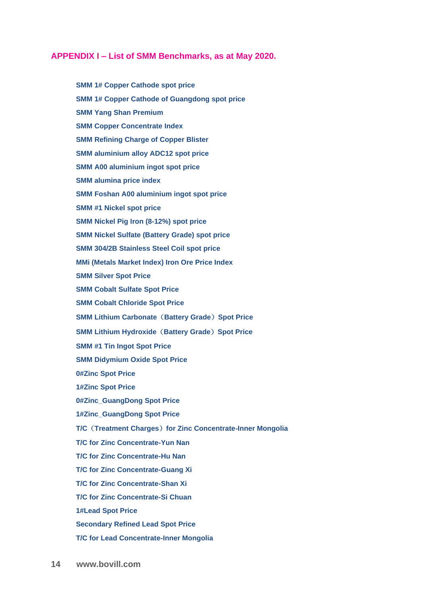#### **APPENDIX I – List of SMM Benchmarks, as at May 2020.**

**SMM 1# Copper Cathode spot price SMM 1# Copper Cathode of Guangdong spot price SMM Yang Shan Premium SMM Copper Concentrate Index SMM Refining Charge of Copper Blister SMM aluminium alloy ADC12 spot price SMM A00 aluminium ingot spot price SMM alumina price index SMM Foshan A00 aluminium ingot spot price SMM #1 Nickel spot price SMM Nickel Pig Iron (8-12%) spot price SMM Nickel Sulfate (Battery Grade) spot price SMM 304/2B Stainless Steel Coil spot price MMi (Metals Market Index) Iron Ore Price Index SMM Silver Spot Price SMM Cobalt Sulfate Spot Price SMM Cobalt Chloride Spot Price SMM Lithium Carbonate**(**Battery Grade**)**Spot Price SMM Lithium Hydroxide**(**Battery Grade**)**Spot Price SMM #1 Tin Ingot Spot Price SMM Didymium Oxide Spot Price 0#Zinc Spot Price 1#Zinc Spot Price 0#Zinc\_GuangDong Spot Price 1#Zinc\_GuangDong Spot Price T/C**(**Treatment Charges**)**for Zinc Concentrate-Inner Mongolia T/C for Zinc Concentrate-Yun Nan T/C for Zinc Concentrate-Hu Nan T/C for Zinc Concentrate-Guang Xi T/C for Zinc Concentrate-Shan Xi T/C for Zinc Concentrate-Si Chuan 1#Lead Spot Price Secondary Refined Lead Spot Price T/C for Lead Concentrate-Inner Mongolia**